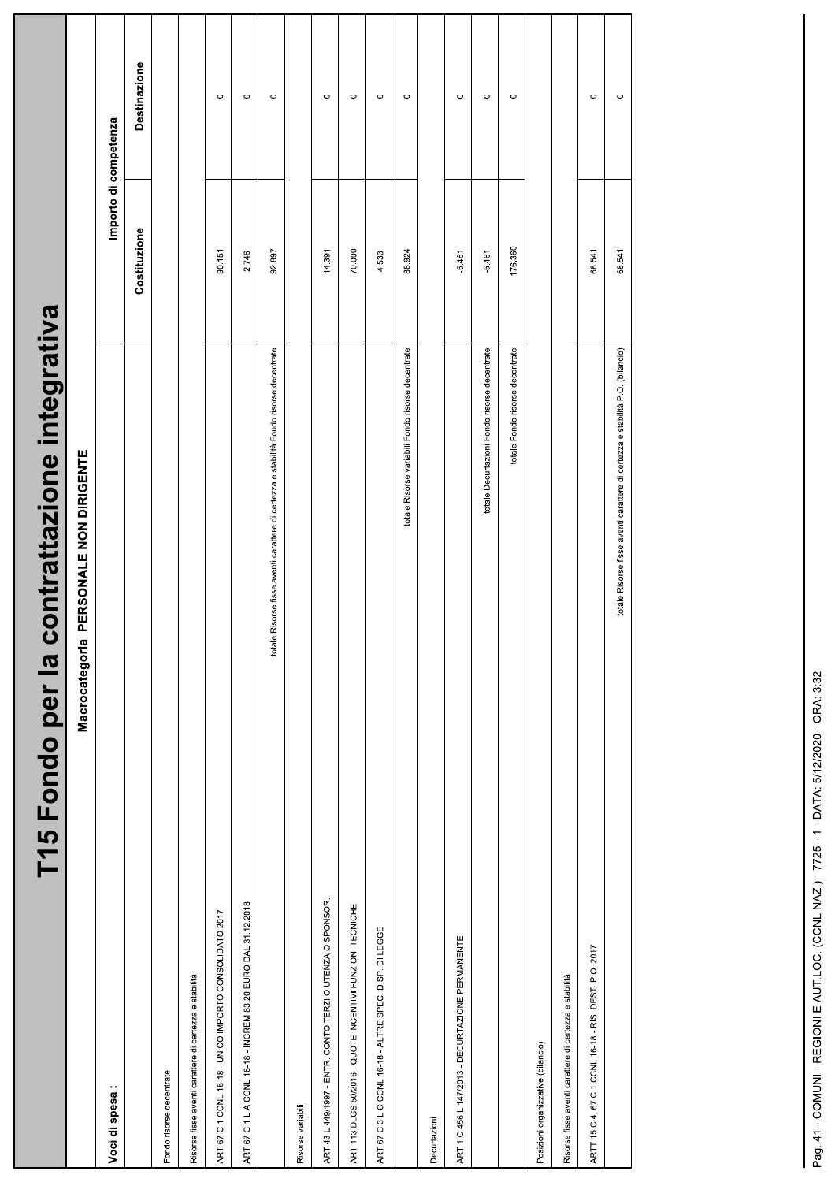| contrattazione integrativa<br>T15 Fondo per la                                         |                       |                     |  |
|----------------------------------------------------------------------------------------|-----------------------|---------------------|--|
| PERSONALE NON DIRIGENTE<br>Macrocategoria                                              |                       |                     |  |
| Voci di spesa:                                                                         | Importo di competenza |                     |  |
|                                                                                        | Costituzione          | <b>Destinazione</b> |  |
| Fondo risorse decentrate                                                               |                       |                     |  |
| Risorse fisse aventi carattere di certezza e stabilità                                 |                       |                     |  |
| ART 67 C 1 CCNL 16-18 - UNICO IMPORTO CONSOLIDATO 2017                                 | 90.151                | $\circ$             |  |
| ART 67 C 1 L A CCNL 16-18 - INCREM 83,20 EURO DAL 31.12.2018                           | 2.746                 | $\circ$             |  |
| totale Risorse fisse aventi carattere di certezza e stabilità Fondo risorse decentrate | 92.897                | $\circ$             |  |
| Risorse variabili                                                                      |                       |                     |  |
| ART 43 L 449/1997 - ENTR. CONTO TERZI O UTENZA O SPONSOR.                              | 14.391                | $\circ$             |  |
| ART 113 DLGS 50/2016 - QUOTE INCENTIVI FUNZIONI TECNICHE                               | 70.000                | $\circ$             |  |
| ART 67 C 3 L C CCNL 16-18 - ALTRE SPEC. DISP. DI LEGGE                                 | 4.533                 | $\circ$             |  |
| totale Risorse variabili Fondo risorse decentrate                                      | 88.924                | $\circ$             |  |
| Decurtazioni                                                                           |                       |                     |  |
| ART 1 C 456 L 147/2013 - DECURTAZIONE PERMANENTE                                       | $-5.461$              | $\circ$             |  |
| totale Decurtazioni Fondo risorse decentrate                                           | $-5.461$              | $\circ$             |  |
| totale Fondo risorse decentrate                                                        | 176.360               | $\circ$             |  |
| Posizioni organizzative (bilancio)                                                     |                       |                     |  |
| Risorse fisse aventi carattere di certezza e stabilità                                 |                       |                     |  |
| ARTT 15 C 4, 67 C 1 CCNL 16-18 - RIS. DEST. P.O. 2017                                  | 68.541                | $\circ$             |  |
| totale Risorse fisse aventi carattere di certezza e stabilità P.O. (bilancio)          | 68.541                | $\circ$             |  |